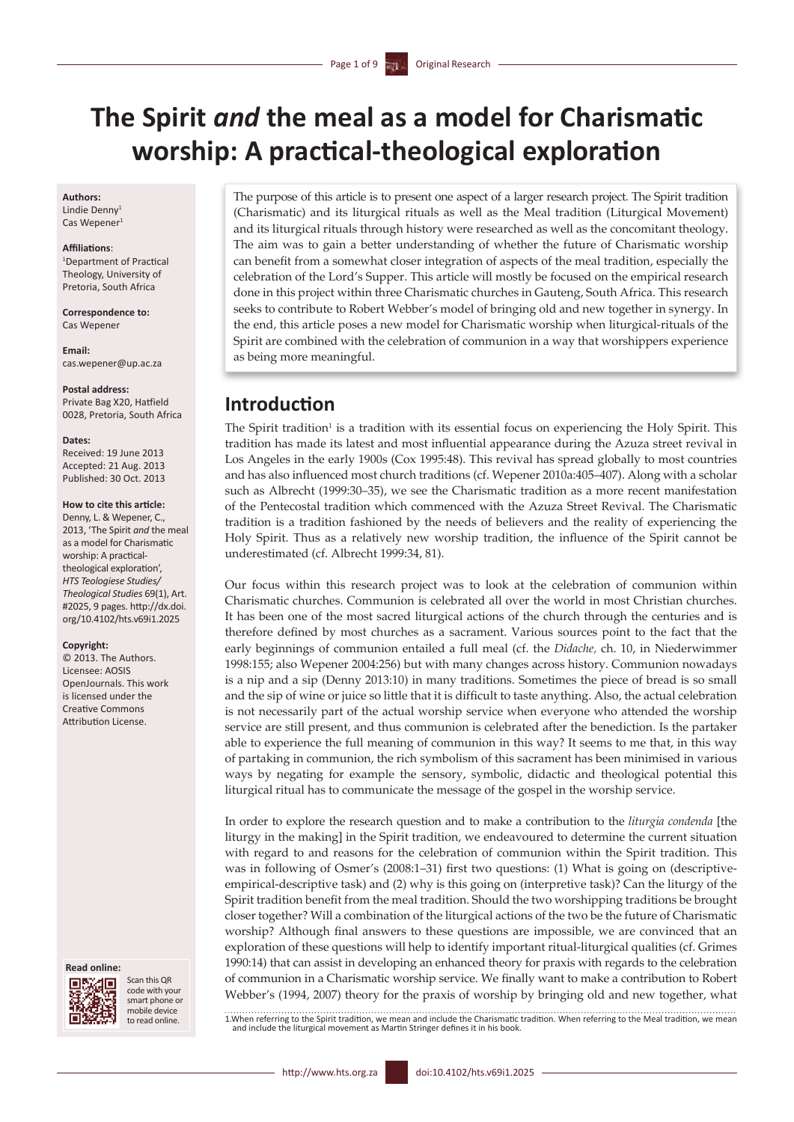# **The Spirit** *and* **the meal as a model for Charismatic worship: A practical-theological exploration**

**Sing** 

#### **Authors:**

Lindie Denny1 Cas Wepener<sup>1</sup>

#### **Affiliations**:

1 Department of Practical Theology, University of Pretoria, South Africa

**Correspondence to:** Cas Wepener

**Email:** [cas.wepener@up.ac.za](mailto:cas.wepener@up.ac.za)

**Postal address:** Private Bag X20, Hatfield 0028, Pretoria, South Africa

#### **Dates:**

Received: 19 June 2013 Accepted: 21 Aug. 2013 Published: 30 Oct. 2013

#### **How to cite this article:**

Denny, L. & Wepener, C., 2013, 'The Spirit *and* the meal as a model for Charismatic worship: A practicaltheological exploration', *HTS Teologiese Studies/ Theological Studies* 69(1), Art. #2025, 9 pages. [http://dx.doi.](http://dx.doi.org/10.4102/hts.v69i1.2025) [org/10.4102/hts.v69i1.2025](http://dx.doi.org/10.4102/hts.v69i1.2025)

#### **Copyright:**

© 2013. The Authors. Licensee: AOSIS OpenJournals. This work is licensed under the Creative Commons Attribution License.

#### **Read online:**



Scan this QR code with your smart phone or mobile device to read online.

The purpose of this article is to present one aspect of a larger research project. The Spirit tradition (Charismatic) and its liturgical rituals as well as the Meal tradition (Liturgical Movement) and its liturgical rituals through history were researched as well as the concomitant theology. The aim was to gain a better understanding of whether the future of Charismatic worship can benefit from a somewhat closer integration of aspects of the meal tradition, especially the celebration of the Lord's Supper. This article will mostly be focused on the empirical research done in this project within three Charismatic churches in Gauteng, South Africa. This research seeks to contribute to Robert Webber's model of bringing old and new together in synergy. In the end, this article poses a new model for Charismatic worship when liturgical-rituals of the Spirit are combined with the celebration of communion in a way that worshippers experience as being more meaningful.

## **Introduction**

The Spirit tradition<sup>1</sup> is a tradition with its essential focus on experiencing the Holy Spirit. This tradition has made its latest and most influential appearance during the Azuza street revival in Los Angeles in the early 1900s (Cox 1995:48). This revival has spread globally to most countries and has also influenced most church traditions (cf. Wepener 2010a:405–407). Along with a scholar such as Albrecht (1999:30–35), we see the Charismatic tradition as a more recent manifestation of the Pentecostal tradition which commenced with the Azuza Street Revival. The Charismatic tradition is a tradition fashioned by the needs of believers and the reality of experiencing the Holy Spirit. Thus as a relatively new worship tradition, the influence of the Spirit cannot be underestimated (cf. Albrecht 1999:34, 81).

Our focus within this research project was to look at the celebration of communion within Charismatic churches. Communion is celebrated all over the world in most Christian churches. It has been one of the most sacred liturgical actions of the church through the centuries and is therefore defined by most churches as a sacrament. Various sources point to the fact that the early beginnings of communion entailed a full meal (cf. the *Didache,* ch. 10, in Niederwimmer 1998:155; also Wepener 2004:256) but with many changes across history. Communion nowadays is a nip and a sip (Denny 2013:10) in many traditions. Sometimes the piece of bread is so small and the sip of wine or juice so little that it is difficult to taste anything. Also, the actual celebration is not necessarily part of the actual worship service when everyone who attended the worship service are still present, and thus communion is celebrated after the benediction. Is the partaker able to experience the full meaning of communion in this way? It seems to me that, in this way of partaking in communion, the rich symbolism of this sacrament has been minimised in various ways by negating for example the sensory, symbolic, didactic and theological potential this liturgical ritual has to communicate the message of the gospel in the worship service.

In order to explore the research question and to make a contribution to the *liturgia condenda* [the liturgy in the making] in the Spirit tradition, we endeavoured to determine the current situation with regard to and reasons for the celebration of communion within the Spirit tradition. This was in following of Osmer's (2008:1–31) first two questions: (1) What is going on (descriptiveempirical-descriptive task) and (2) why is this going on (interpretive task)? Can the liturgy of the Spirit tradition benefit from the meal tradition. Should the two worshipping traditions be brought closer together? Will a combination of the liturgical actions of the two be the future of Charismatic worship? Although final answers to these questions are impossible, we are convinced that an exploration of these questions will help to identify important ritual-liturgical qualities (cf. Grimes 1990:14) that can assist in developing an enhanced theory for praxis with regards to the celebration of communion in a Charismatic worship service. We finally want to make a contribution to Robert Webber's (1994, 2007) theory for the praxis of worship by bringing old and new together, what

1.When referring to the Spirit tradition, we mean and include the Charismatic tradition. When referring to the Meal tradition, we mean and include the liturgical movement as Martin Stringer defines it in his book.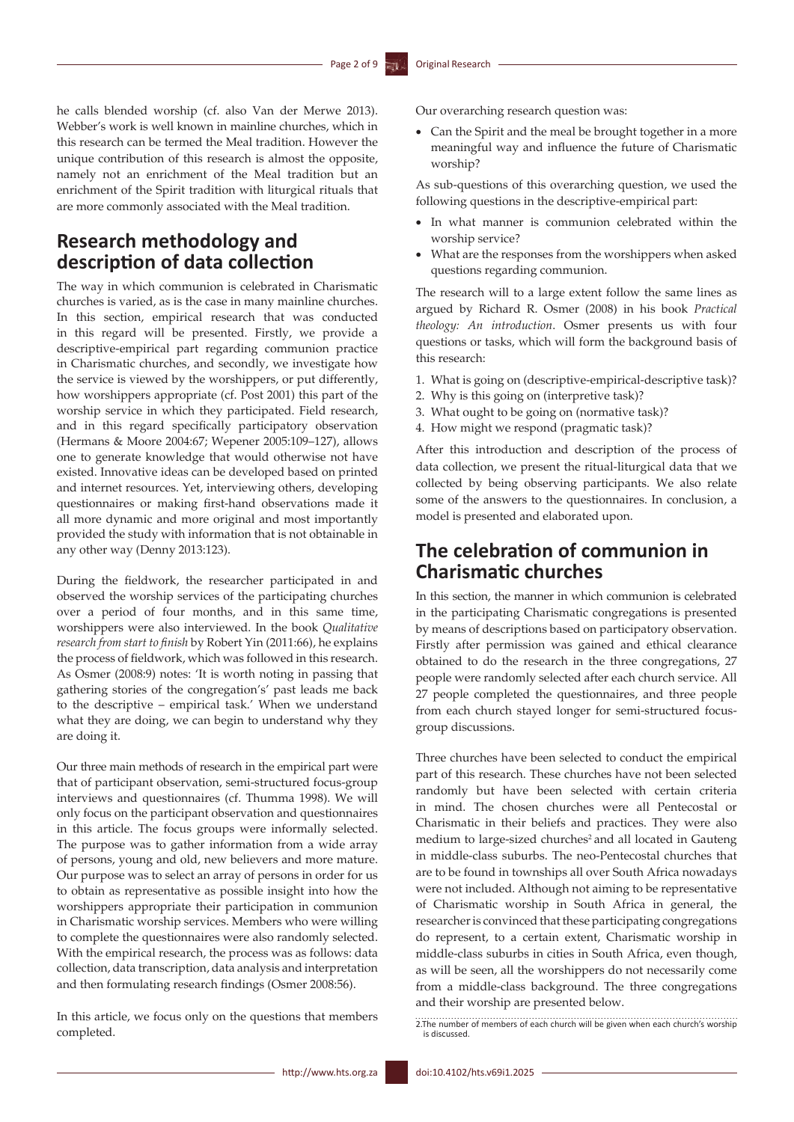he calls blended worship (cf. also Van der Merwe 2013). Webber's work is well known in mainline churches, which in this research can be termed the Meal tradition. However the unique contribution of this research is almost the opposite, namely not an enrichment of the Meal tradition but an enrichment of the Spirit tradition with liturgical rituals that are more commonly associated with the Meal tradition.

## **Research methodology and description of data collection**

The way in which communion is celebrated in Charismatic churches is varied, as is the case in many mainline churches. In this section, empirical research that was conducted in this regard will be presented. Firstly, we provide a descriptive-empirical part regarding communion practice in Charismatic churches, and secondly, we investigate how the service is viewed by the worshippers, or put differently, how worshippers appropriate (cf. Post 2001) this part of the worship service in which they participated. Field research, and in this regard specifically participatory observation (Hermans & Moore 2004:67; Wepener 2005:109–127), allows one to generate knowledge that would otherwise not have existed. Innovative ideas can be developed based on printed and internet resources. Yet, interviewing others, developing questionnaires or making first-hand observations made it all more dynamic and more original and most importantly provided the study with information that is not obtainable in any other way (Denny 2013:123).

During the fieldwork, the researcher participated in and observed the worship services of the participating churches over a period of four months, and in this same time, worshippers were also interviewed. In the book *Qualitative research from start to finish* by Robert Yin (2011:66), he explains the process of fieldwork, which was followed in this research. As Osmer (2008:9) notes: 'It is worth noting in passing that gathering stories of the congregation's' past leads me back to the descriptive – empirical task.' When we understand what they are doing, we can begin to understand why they are doing it.

Our three main methods of research in the empirical part were that of participant observation, semi-structured focus-group interviews and questionnaires (cf. Thumma 1998). We will only focus on the participant observation and questionnaires in this article. The focus groups were informally selected. The purpose was to gather information from a wide array of persons, young and old, new believers and more mature. Our purpose was to select an array of persons in order for us to obtain as representative as possible insight into how the worshippers appropriate their participation in communion in Charismatic worship services. Members who were willing to complete the questionnaires were also randomly selected. With the empirical research, the process was as follows: data collection, data transcription, data analysis and interpretation and then formulating research findings (Osmer 2008:56).

In this article, we focus only on the questions that members completed.

Our overarching research question was:

• Can the Spirit and the meal be brought together in a more meaningful way and influence the future of Charismatic worship?

As sub-questions of this overarching question, we used the following questions in the descriptive-empirical part:

- In what manner is communion celebrated within the worship service?
- What are the responses from the worshippers when asked questions regarding communion.

The research will to a large extent follow the same lines as argued by Richard R. Osmer (2008) in his book *Practical theology: An introduction*. Osmer presents us with four questions or tasks, which will form the background basis of this research:

- 1. What is going on (descriptive-empirical-descriptive task)?
- 2. Why is this going on (interpretive task)?
- 3. What ought to be going on (normative task)?
- 4. How might we respond (pragmatic task)?

After this introduction and description of the process of data collection, we present the ritual-liturgical data that we collected by being observing participants. We also relate some of the answers to the questionnaires. In conclusion, a model is presented and elaborated upon.

## **The celebration of communion in Charismatic churches**

In this section, the manner in which communion is celebrated in the participating Charismatic congregations is presented by means of descriptions based on participatory observation. Firstly after permission was gained and ethical clearance obtained to do the research in the three congregations, 27 people were randomly selected after each church service. All 27 people completed the questionnaires, and three people from each church stayed longer for semi-structured focusgroup discussions.

Three churches have been selected to conduct the empirical part of this research. These churches have not been selected randomly but have been selected with certain criteria in mind. The chosen churches were all Pentecostal or Charismatic in their beliefs and practices. They were also medium to large-sized churches<sup>2</sup> and all located in Gauteng in middle-class suburbs. The neo-Pentecostal churches that are to be found in townships all over South Africa nowadays were not included. Although not aiming to be representative of Charismatic worship in South Africa in general, the researcher is convinced that these participating congregations do represent, to a certain extent, Charismatic worship in middle-class suburbs in cities in South Africa, even though, as will be seen, all the worshippers do not necessarily come from a middle-class background. The three congregations and their worship are presented below.

2.The number of members of each church will be given when each church's worship is discussed.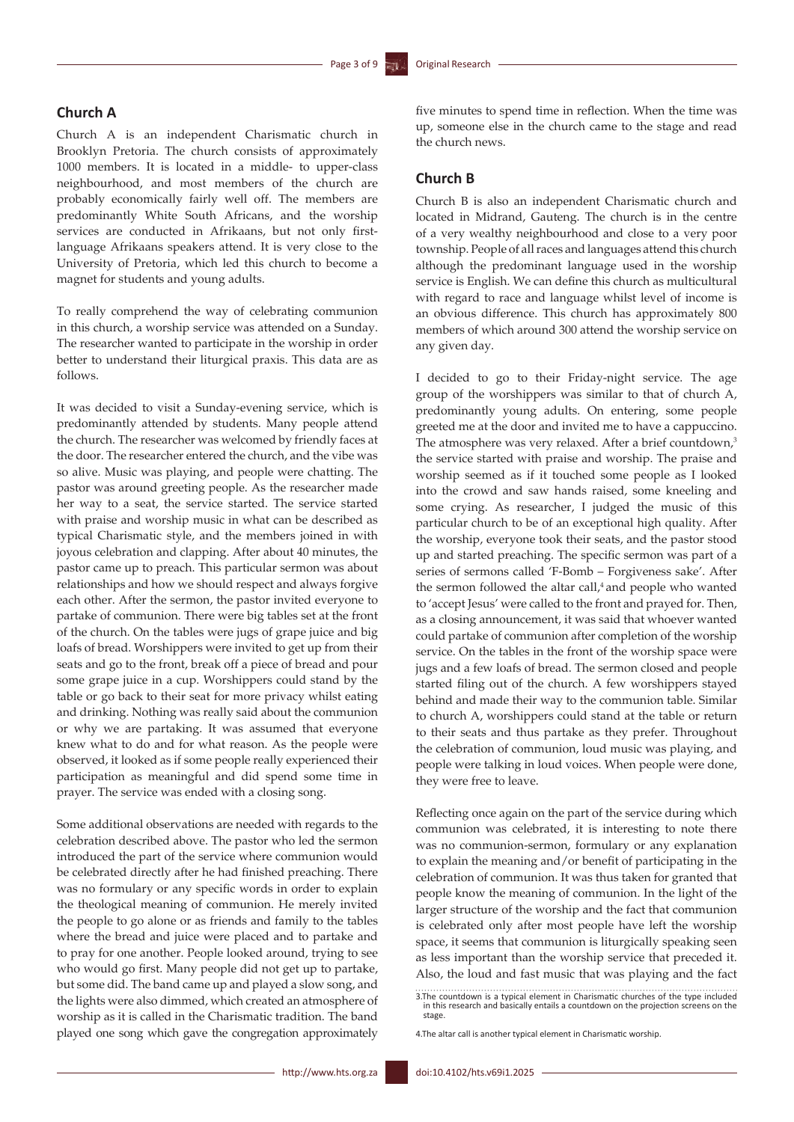### **Church A**

Church A is an independent Charismatic church in Brooklyn Pretoria. The church consists of approximately 1000 members. It is located in a middle- to upper-class neighbourhood, and most members of the church are probably economically fairly well off. The members are predominantly White South Africans, and the worship services are conducted in Afrikaans, but not only firstlanguage Afrikaans speakers attend. It is very close to the University of Pretoria, which led this church to become a magnet for students and young adults.

To really comprehend the way of celebrating communion in this church, a worship service was attended on a Sunday. The researcher wanted to participate in the worship in order better to understand their liturgical praxis. This data are as follows.

It was decided to visit a Sunday-evening service, which is predominantly attended by students. Many people attend the church. The researcher was welcomed by friendly faces at the door. The researcher entered the church, and the vibe was so alive. Music was playing, and people were chatting. The pastor was around greeting people. As the researcher made her way to a seat, the service started. The service started with praise and worship music in what can be described as typical Charismatic style, and the members joined in with joyous celebration and clapping. After about 40 minutes, the pastor came up to preach. This particular sermon was about relationships and how we should respect and always forgive each other. After the sermon, the pastor invited everyone to partake of communion. There were big tables set at the front of the church. On the tables were jugs of grape juice and big loafs of bread. Worshippers were invited to get up from their seats and go to the front, break off a piece of bread and pour some grape juice in a cup. Worshippers could stand by the table or go back to their seat for more privacy whilst eating and drinking. Nothing was really said about the communion or why we are partaking. It was assumed that everyone knew what to do and for what reason. As the people were observed, it looked as if some people really experienced their participation as meaningful and did spend some time in prayer. The service was ended with a closing song.

Some additional observations are needed with regards to the celebration described above. The pastor who led the sermon introduced the part of the service where communion would be celebrated directly after he had finished preaching. There was no formulary or any specific words in order to explain the theological meaning of communion. He merely invited the people to go alone or as friends and family to the tables where the bread and juice were placed and to partake and to pray for one another. People looked around, trying to see who would go first. Many people did not get up to partake, but some did. The band came up and played a slow song, and the lights were also dimmed, which created an atmosphere of worship as it is called in the Charismatic tradition. The band played one song which gave the congregation approximately

five minutes to spend time in reflection. When the time was up, someone else in the church came to the stage and read the church news.

### **Church B**

Church B is also an independent Charismatic church and located in Midrand, Gauteng. The church is in the centre of a very wealthy neighbourhood and close to a very poor township. People of all races and languages attend this church although the predominant language used in the worship service is English. We can define this church as multicultural with regard to race and language whilst level of income is an obvious difference. This church has approximately 800 members of which around 300 attend the worship service on any given day.

I decided to go to their Friday-night service. The age group of the worshippers was similar to that of church A, predominantly young adults. On entering, some people greeted me at the door and invited me to have a cappuccino. The atmosphere was very relaxed. After a brief countdown,<sup>3</sup> the service started with praise and worship. The praise and worship seemed as if it touched some people as I looked into the crowd and saw hands raised, some kneeling and some crying. As researcher, I judged the music of this particular church to be of an exceptional high quality. After the worship, everyone took their seats, and the pastor stood up and started preaching. The specific sermon was part of a series of sermons called 'F-Bomb – Forgiveness sake'. After the sermon followed the altar call, $4$  and people who wanted to 'accept Jesus' were called to the front and prayed for. Then, as a closing announcement, it was said that whoever wanted could partake of communion after completion of the worship service. On the tables in the front of the worship space were jugs and a few loafs of bread. The sermon closed and people started filing out of the church. A few worshippers stayed behind and made their way to the communion table. Similar to church A, worshippers could stand at the table or return to their seats and thus partake as they prefer. Throughout the celebration of communion, loud music was playing, and people were talking in loud voices. When people were done, they were free to leave.

Reflecting once again on the part of the service during which communion was celebrated, it is interesting to note there was no communion-sermon, formulary or any explanation to explain the meaning and/or benefit of participating in the celebration of communion. It was thus taken for granted that people know the meaning of communion. In the light of the larger structure of the worship and the fact that communion is celebrated only after most people have left the worship space, it seems that communion is liturgically speaking seen as less important than the worship service that preceded it. Also, the loud and fast music that was playing and the fact

4.The altar call is another typical element in Charismatic worship.

<sup>3.</sup>The countdown is a typical element in Charismatic churches of the type included in this research and basically entails a countdown on the projection screens on the stage.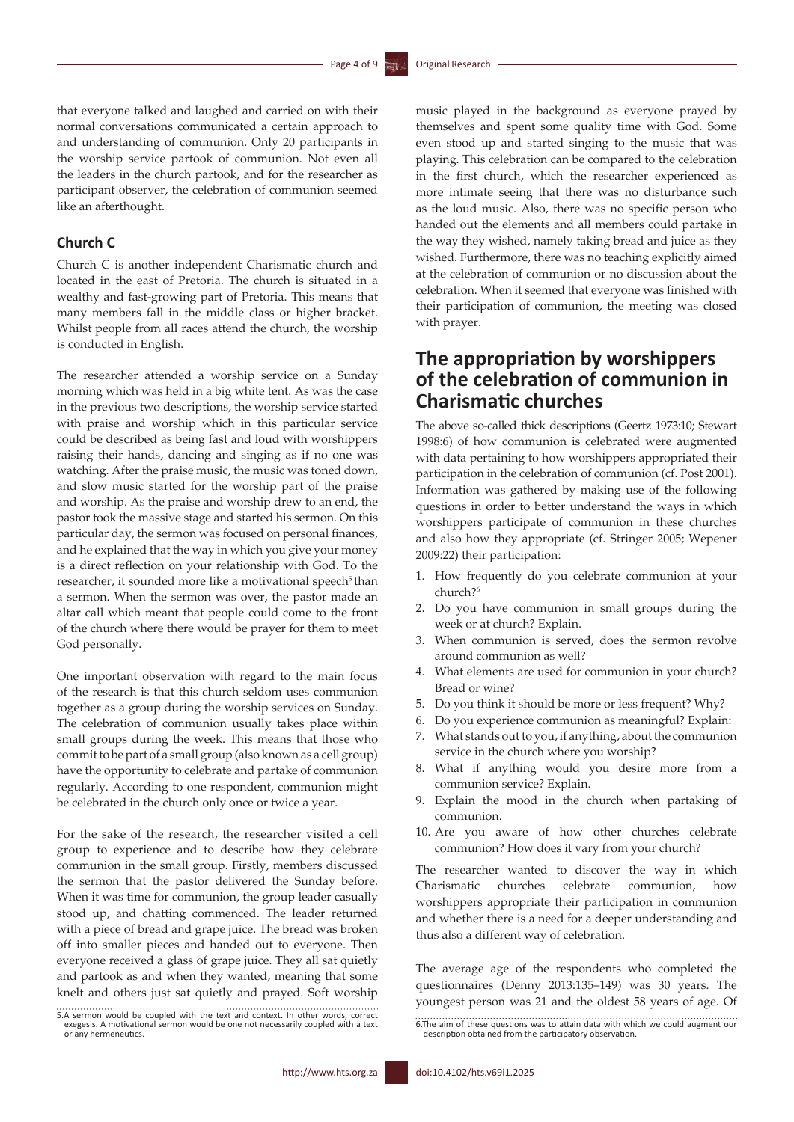that everyone talked and laughed and carried on with their normal conversations communicated a certain approach to and understanding of communion. Only 20 participants in the worship service partook of communion. Not even all the leaders in the church partook, and for the researcher as participant observer, the celebration of communion seemed like an afterthought.

### **Church C**

Church C is another independent Charismatic church and located in the east of Pretoria. The church is situated in a wealthy and fast-growing part of Pretoria. This means that many members fall in the middle class or higher bracket. Whilst people from all races attend the church, the worship is conducted in English.

The researcher attended a worship service on a Sunday morning which was held in a big white tent. As was the case in the previous two descriptions, the worship service started with praise and worship which in this particular service could be described as being fast and loud with worshippers raising their hands, dancing and singing as if no one was watching. After the praise music, the music was toned down, and slow music started for the worship part of the praise and worship. As the praise and worship drew to an end, the pastor took the massive stage and started his sermon. On this particular day, the sermon was focused on personal finances, and he explained that the way in which you give your money is a direct reflection on your relationship with God. To the researcher, it sounded more like a motivational speech<sup>5</sup> than a sermon. When the sermon was over, the pastor made an altar call which meant that people could come to the front of the church where there would be prayer for them to meet God personally.

One important observation with regard to the main focus of the research is that this church seldom uses communion together as a group during the worship services on Sunday. The celebration of communion usually takes place within small groups during the week. This means that those who commit to be part of a small group (also known as a cell group) have the opportunity to celebrate and partake of communion regularly. According to one respondent, communion might be celebrated in the church only once or twice a year.

For the sake of the research, the researcher visited a cell group to experience and to describe how they celebrate communion in the small group. Firstly, members discussed the sermon that the pastor delivered the Sunday before. When it was time for communion, the group leader casually stood up, and chatting commenced. The leader returned with a piece of bread and grape juice. The bread was broken off into smaller pieces and handed out to everyone. Then everyone received a glass of grape juice. They all sat quietly and partook as and when they wanted, meaning that some knelt and others just sat quietly and prayed. Soft worship

5.A sermon would be coupled with the text and context. In other words, correct exegesis. A motivational sermon would be one not necessarily coupled with a text or any hermeneutics.

music played in the background as everyone prayed by themselves and spent some quality time with God. Some even stood up and started singing to the music that was playing. This celebration can be compared to the celebration in the first church, which the researcher experienced as more intimate seeing that there was no disturbance such as the loud music. Also, there was no specific person who handed out the elements and all members could partake in the way they wished, namely taking bread and juice as they wished. Furthermore, there was no teaching explicitly aimed at the celebration of communion or no discussion about the celebration. When it seemed that everyone was finished with their participation of communion, the meeting was closed with prayer.

## **The appropriation by worshippers of the celebration of communion in Charismatic churches**

The above so-called thick descriptions (Geertz 1973:10; Stewart 1998:6) of how communion is celebrated were augmented with data pertaining to how worshippers appropriated their participation in the celebration of communion (cf. Post 2001). Information was gathered by making use of the following questions in order to better understand the ways in which worshippers participate of communion in these churches and also how they appropriate (cf. Stringer 2005; Wepener 2009:22) their participation:

- 1. How frequently do you celebrate communion at your church?6
- 2. Do you have communion in small groups during the week or at church? Explain.
- 3. When communion is served, does the sermon revolve around communion as well?
- 4. What elements are used for communion in your church? Bread or wine?
- 5. Do you think it should be more or less frequent? Why?
- 6. Do you experience communion as meaningful? Explain:
- 7. What stands out to you, if anything, about the communion service in the church where you worship?
- 8. What if anything would you desire more from a communion service? Explain.
- 9. Explain the mood in the church when partaking of communion.
- 10. Are you aware of how other churches celebrate communion? How does it vary from your church?

The researcher wanted to discover the way in which Charismatic churches celebrate communion, how worshippers appropriate their participation in communion and whether there is a need for a deeper understanding and thus also a different way of celebration.

The average age of the respondents who completed the questionnaires (Denny 2013:135–149) was 30 years. The youngest person was 21 and the oldest 58 years of age. Of

<sup>6.</sup>The aim of these questions was to attain data with which we could augment our description obtained from the participatory observation.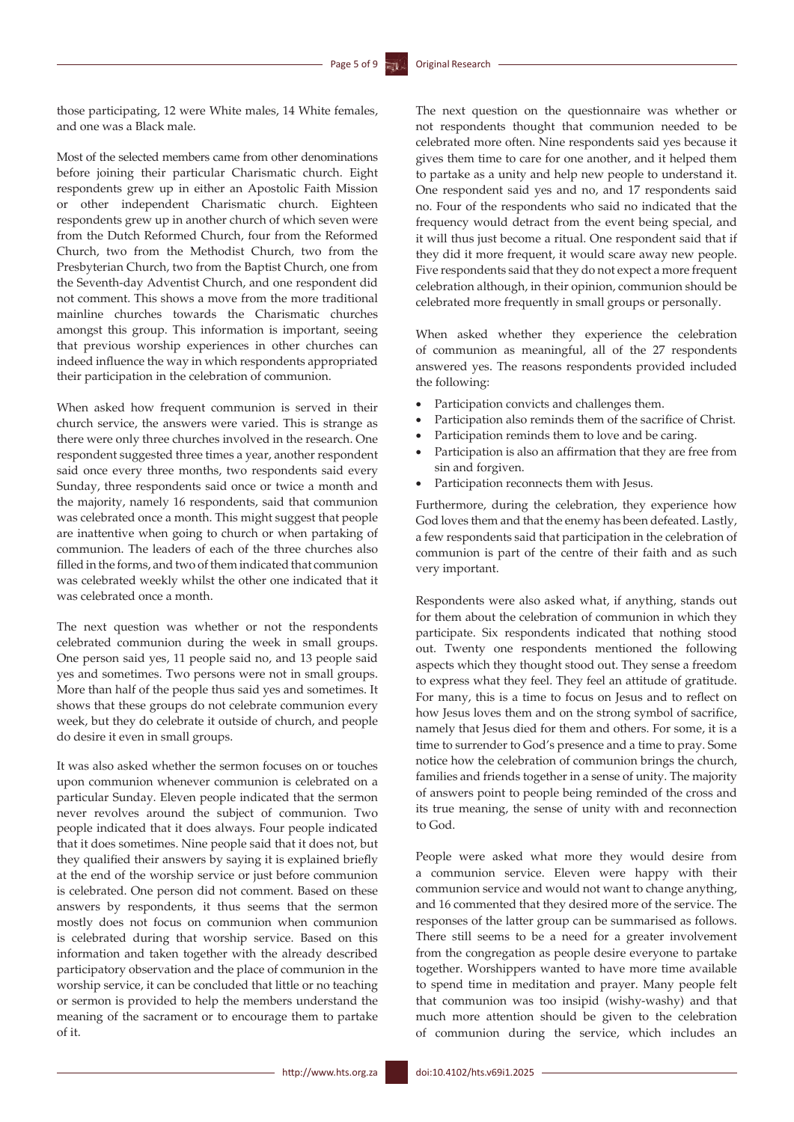those participating, 12 were White males, 14 White females, and one was a Black male.

Most of the selected members came from other denominations before joining their particular Charismatic church. Eight respondents grew up in either an Apostolic Faith Mission or other independent Charismatic church. Eighteen respondents grew up in another church of which seven were from the Dutch Reformed Church, four from the Reformed Church, two from the Methodist Church, two from the Presbyterian Church, two from the Baptist Church, one from the Seventh-day Adventist Church, and one respondent did not comment. This shows a move from the more traditional mainline churches towards the Charismatic churches amongst this group. This information is important, seeing that previous worship experiences in other churches can indeed influence the way in which respondents appropriated their participation in the celebration of communion.

When asked how frequent communion is served in their church service, the answers were varied. This is strange as there were only three churches involved in the research. One respondent suggested three times a year, another respondent said once every three months, two respondents said every Sunday, three respondents said once or twice a month and the majority, namely 16 respondents, said that communion was celebrated once a month. This might suggest that people are inattentive when going to church or when partaking of communion. The leaders of each of the three churches also filled in the forms, and two of them indicated that communion was celebrated weekly whilst the other one indicated that it was celebrated once a month.

The next question was whether or not the respondents celebrated communion during the week in small groups. One person said yes, 11 people said no, and 13 people said yes and sometimes. Two persons were not in small groups. More than half of the people thus said yes and sometimes. It shows that these groups do not celebrate communion every week, but they do celebrate it outside of church, and people do desire it even in small groups.

It was also asked whether the sermon focuses on or touches upon communion whenever communion is celebrated on a particular Sunday. Eleven people indicated that the sermon never revolves around the subject of communion. Two people indicated that it does always. Four people indicated that it does sometimes. Nine people said that it does not, but they qualified their answers by saying it is explained briefly at the end of the worship service or just before communion is celebrated. One person did not comment. Based on these answers by respondents, it thus seems that the sermon mostly does not focus on communion when communion is celebrated during that worship service. Based on this information and taken together with the already described participatory observation and the place of communion in the worship service, it can be concluded that little or no teaching or sermon is provided to help the members understand the meaning of the sacrament or to encourage them to partake of it.

The next question on the questionnaire was whether or not respondents thought that communion needed to be celebrated more often. Nine respondents said yes because it gives them time to care for one another, and it helped them to partake as a unity and help new people to understand it. One respondent said yes and no, and 17 respondents said no. Four of the respondents who said no indicated that the frequency would detract from the event being special, and it will thus just become a ritual. One respondent said that if they did it more frequent, it would scare away new people. Five respondents said that they do not expect a more frequent celebration although, in their opinion, communion should be celebrated more frequently in small groups or personally.

When asked whether they experience the celebration of communion as meaningful, all of the 27 respondents answered yes. The reasons respondents provided included the following:

- • Participation convicts and challenges them.
- Participation also reminds them of the sacrifice of Christ.
- Participation reminds them to love and be caring.
- Participation is also an affirmation that they are free from sin and forgiven.
- • Participation reconnects them with Jesus.

Furthermore, during the celebration, they experience how God loves them and that the enemy has been defeated. Lastly, a few respondents said that participation in the celebration of communion is part of the centre of their faith and as such very important.

Respondents were also asked what, if anything, stands out for them about the celebration of communion in which they participate. Six respondents indicated that nothing stood out. Twenty one respondents mentioned the following aspects which they thought stood out. They sense a freedom to express what they feel. They feel an attitude of gratitude. For many, this is a time to focus on Jesus and to reflect on how Jesus loves them and on the strong symbol of sacrifice, namely that Jesus died for them and others. For some, it is a time to surrender to God's presence and a time to pray. Some notice how the celebration of communion brings the church, families and friends together in a sense of unity. The majority of answers point to people being reminded of the cross and its true meaning, the sense of unity with and reconnection to God.

People were asked what more they would desire from a communion service. Eleven were happy with their communion service and would not want to change anything, and 16 commented that they desired more of the service. The responses of the latter group can be summarised as follows. There still seems to be a need for a greater involvement from the congregation as people desire everyone to partake together. Worshippers wanted to have more time available to spend time in meditation and prayer. Many people felt that communion was too insipid (wishy-washy) and that much more attention should be given to the celebration of communion during the service, which includes an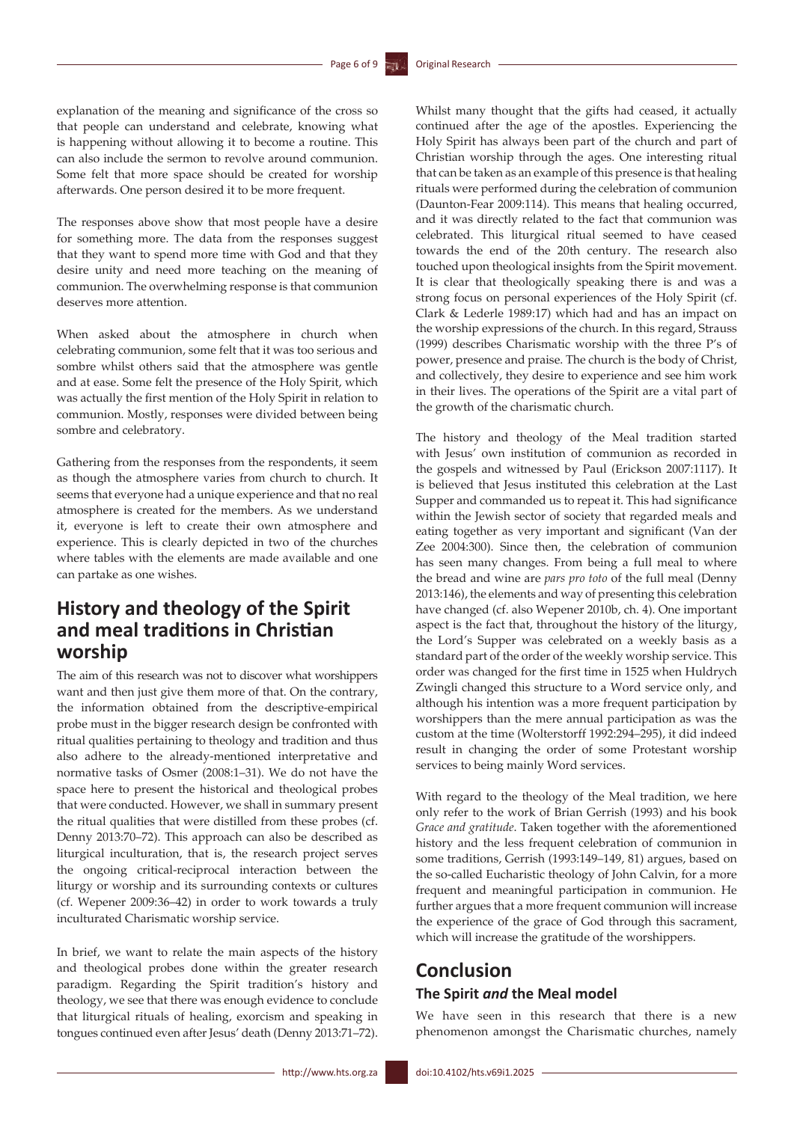explanation of the meaning and significance of the cross so that people can understand and celebrate, knowing what is happening without allowing it to become a routine. This can also include the sermon to revolve around communion. Some felt that more space should be created for worship afterwards. One person desired it to be more frequent.

The responses above show that most people have a desire for something more. The data from the responses suggest that they want to spend more time with God and that they desire unity and need more teaching on the meaning of communion. The overwhelming response is that communion deserves more attention.

When asked about the atmosphere in church when celebrating communion, some felt that it was too serious and sombre whilst others said that the atmosphere was gentle and at ease. Some felt the presence of the Holy Spirit, which was actually the first mention of the Holy Spirit in relation to communion. Mostly, responses were divided between being sombre and celebratory.

Gathering from the responses from the respondents, it seem as though the atmosphere varies from church to church. It seems that everyone had a unique experience and that no real atmosphere is created for the members. As we understand it, everyone is left to create their own atmosphere and experience. This is clearly depicted in two of the churches where tables with the elements are made available and one can partake as one wishes.

## **History and theology of the Spirit and meal traditions in Christian worship**

The aim of this research was not to discover what worshippers want and then just give them more of that. On the contrary, the information obtained from the descriptive-empirical probe must in the bigger research design be confronted with ritual qualities pertaining to theology and tradition and thus also adhere to the already-mentioned interpretative and normative tasks of Osmer (2008:1–31). We do not have the space here to present the historical and theological probes that were conducted. However, we shall in summary present the ritual qualities that were distilled from these probes (cf. Denny 2013:70–72). This approach can also be described as liturgical inculturation, that is, the research project serves the ongoing critical-reciprocal interaction between the liturgy or worship and its surrounding contexts or cultures (cf. Wepener 2009:36–42) in order to work towards a truly inculturated Charismatic worship service.

In brief, we want to relate the main aspects of the history and theological probes done within the greater research paradigm. Regarding the Spirit tradition's history and theology, we see that there was enough evidence to conclude that liturgical rituals of healing, exorcism and speaking in tongues continued even after Jesus' death (Denny 2013:71–72).

Whilst many thought that the gifts had ceased, it actually continued after the age of the apostles. Experiencing the Holy Spirit has always been part of the church and part of Christian worship through the ages. One interesting ritual that can be taken as an example of this presence is that healing rituals were performed during the celebration of communion (Daunton-Fear 2009:114). This means that healing occurred, and it was directly related to the fact that communion was celebrated. This liturgical ritual seemed to have ceased towards the end of the 20th century. The research also touched upon theological insights from the Spirit movement. It is clear that theologically speaking there is and was a strong focus on personal experiences of the Holy Spirit (cf. Clark & Lederle 1989:17) which had and has an impact on the worship expressions of the church. In this regard, Strauss (1999) describes Charismatic worship with the three P's of power, presence and praise. The church is the body of Christ, and collectively, they desire to experience and see him work in their lives. The operations of the Spirit are a vital part of the growth of the charismatic church.

The history and theology of the Meal tradition started with Jesus' own institution of communion as recorded in the gospels and witnessed by Paul (Erickson 2007:1117). It is believed that Jesus instituted this celebration at the Last Supper and commanded us to repeat it. This had significance within the Jewish sector of society that regarded meals and eating together as very important and significant (Van der Zee 2004:300). Since then, the celebration of communion has seen many changes. From being a full meal to where the bread and wine are *pars pro toto* of the full meal (Denny 2013:146), the elements and way of presenting this celebration have changed (cf. also Wepener 2010b, ch. 4). One important aspect is the fact that, throughout the history of the liturgy, the Lord's Supper was celebrated on a weekly basis as a standard part of the order of the weekly worship service. This order was changed for the first time in 1525 when Huldrych Zwingli changed this structure to a Word service only, and although his intention was a more frequent participation by worshippers than the mere annual participation as was the custom at the time (Wolterstorff 1992:294–295), it did indeed result in changing the order of some Protestant worship services to being mainly Word services.

With regard to the theology of the Meal tradition, we here only refer to the work of Brian Gerrish (1993) and his book *Grace and gratitude*. Taken together with the aforementioned history and the less frequent celebration of communion in some traditions, Gerrish (1993:149–149, 81) argues, based on the so-called Eucharistic theology of John Calvin, for a more frequent and meaningful participation in communion. He further argues that a more frequent communion will increase the experience of the grace of God through this sacrament, which will increase the gratitude of the worshippers.

## **Conclusion The Spirit** *and* **the Meal model**

We have seen in this research that there is a new phenomenon amongst the Charismatic churches, namely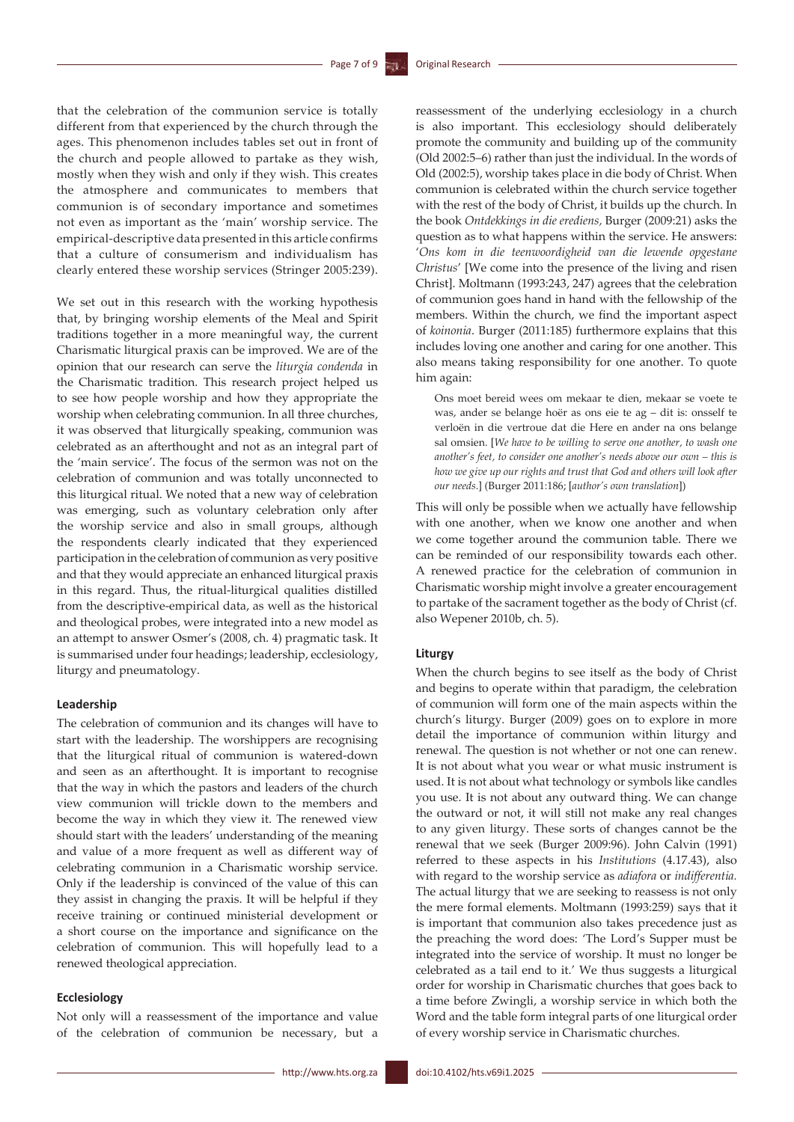that the celebration of the communion service is totally different from that experienced by the church through the ages. This phenomenon includes tables set out in front of the church and people allowed to partake as they wish, mostly when they wish and only if they wish. This creates the atmosphere and communicates to members that communion is of secondary importance and sometimes not even as important as the 'main' worship service. The empirical-descriptive data presented in this article confirms that a culture of consumerism and individualism has clearly entered these worship services (Stringer 2005:239).

We set out in this research with the working hypothesis that, by bringing worship elements of the Meal and Spirit traditions together in a more meaningful way, the current Charismatic liturgical praxis can be improved. We are of the opinion that our research can serve the *liturgia condenda* in the Charismatic tradition. This research project helped us to see how people worship and how they appropriate the worship when celebrating communion. In all three churches, it was observed that liturgically speaking, communion was celebrated as an afterthought and not as an integral part of the 'main service'. The focus of the sermon was not on the celebration of communion and was totally unconnected to this liturgical ritual. We noted that a new way of celebration was emerging, such as voluntary celebration only after the worship service and also in small groups, although the respondents clearly indicated that they experienced participation in the celebration of communion as very positive and that they would appreciate an enhanced liturgical praxis in this regard. Thus, the ritual-liturgical qualities distilled from the descriptive-empirical data, as well as the historical and theological probes, were integrated into a new model as an attempt to answer Osmer's (2008, ch. 4) pragmatic task. It is summarised under four headings; leadership, ecclesiology, liturgy and pneumatology.

### **Leadership**

The celebration of communion and its changes will have to start with the leadership. The worshippers are recognising that the liturgical ritual of communion is watered-down and seen as an afterthought. It is important to recognise that the way in which the pastors and leaders of the church view communion will trickle down to the members and become the way in which they view it. The renewed view should start with the leaders' understanding of the meaning and value of a more frequent as well as different way of celebrating communion in a Charismatic worship service. Only if the leadership is convinced of the value of this can they assist in changing the praxis. It will be helpful if they receive training or continued ministerial development or a short course on the importance and significance on the celebration of communion. This will hopefully lead to a renewed theological appreciation.

### **Ecclesiology**

Not only will a reassessment of the importance and value of the celebration of communion be necessary, but a

reassessment of the underlying ecclesiology in a church is also important. This ecclesiology should deliberately promote the community and building up of the community (Old 2002:5–6) rather than just the individual. In the words of Old (2002:5), worship takes place in die body of Christ. When communion is celebrated within the church service together with the rest of the body of Christ, it builds up the church. In the book *Ontdekkings in die erediens,* Burger (2009:21) asks the question as to what happens within the service. He answers: '*Ons kom in die teenwoordigheid van die lewende opgestane Christus*' [We come into the presence of the living and risen Christ]. Moltmann (1993:243, 247) agrees that the celebration of communion goes hand in hand with the fellowship of the members. Within the church, we find the important aspect of *koinonia*. Burger (2011:185) furthermore explains that this includes loving one another and caring for one another. This also means taking responsibility for one another. To quote him again:

Ons moet bereid wees om mekaar te dien, mekaar se voete te was, ander se belange hoër as ons eie te ag – dit is: onsself te verloën in die vertroue dat die Here en ander na ons belange sal omsien. [*We have to be willing to serve one another, to wash one another's feet, to consider one another's needs above our own – this is how we give up our rights and trust that God and others will look after our needs*.] (Burger 2011:186; [*author's own translation*])

This will only be possible when we actually have fellowship with one another, when we know one another and when we come together around the communion table. There we can be reminded of our responsibility towards each other. A renewed practice for the celebration of communion in Charismatic worship might involve a greater encouragement to partake of the sacrament together as the body of Christ (cf. also Wepener 2010b, ch. 5).

#### **Liturgy**

When the church begins to see itself as the body of Christ and begins to operate within that paradigm, the celebration of communion will form one of the main aspects within the church's liturgy. Burger (2009) goes on to explore in more detail the importance of communion within liturgy and renewal. The question is not whether or not one can renew. It is not about what you wear or what music instrument is used. It is not about what technology or symbols like candles you use. It is not about any outward thing. We can change the outward or not, it will still not make any real changes to any given liturgy. These sorts of changes cannot be the renewal that we seek (Burger 2009:96). John Calvin (1991) referred to these aspects in his *Institutions* (4.17.43), also with regard to the worship service as *adiafora* or *indifferentia.*  The actual liturgy that we are seeking to reassess is not only the mere formal elements. Moltmann (1993:259) says that it is important that communion also takes precedence just as the preaching the word does: 'The Lord's Supper must be integrated into the service of worship. It must no longer be celebrated as a tail end to it.' We thus suggests a liturgical order for worship in Charismatic churches that goes back to a time before Zwingli, a worship service in which both the Word and the table form integral parts of one liturgical order of every worship service in Charismatic churches.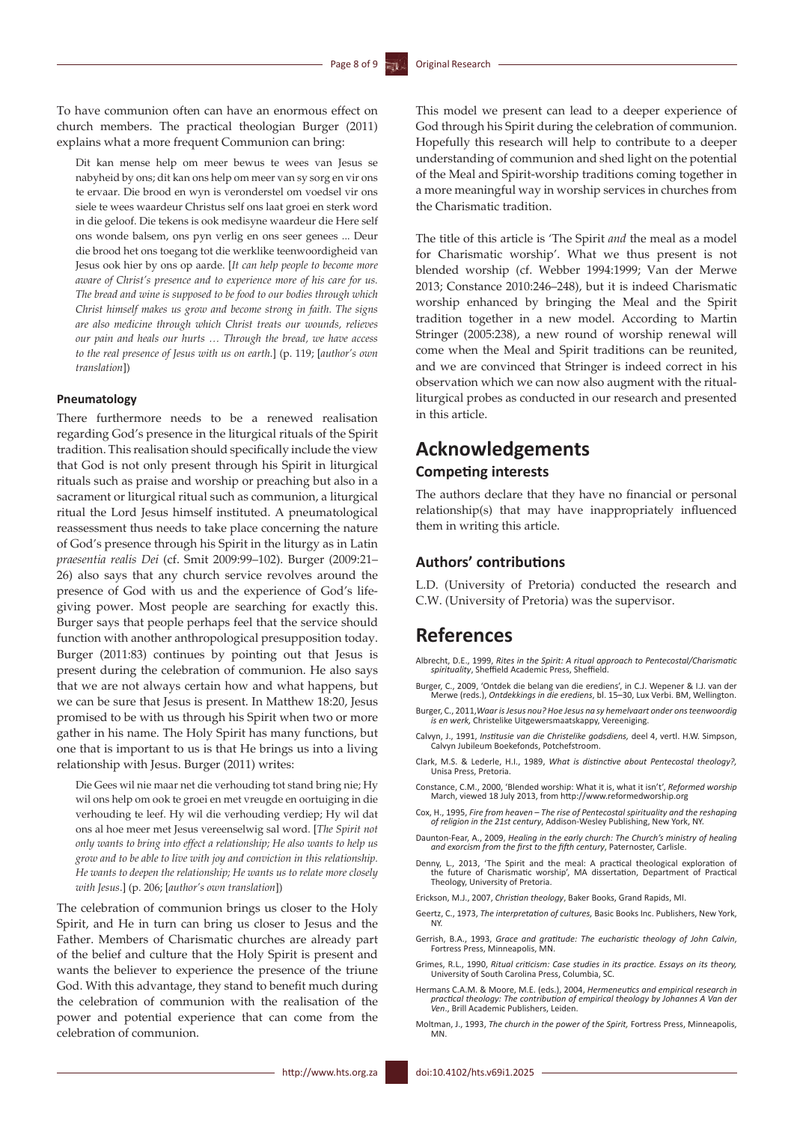To have communion often can have an enormous effect on church members. The practical theologian Burger (2011) explains what a more frequent Communion can bring:

Dit kan mense help om meer bewus te wees van Jesus se nabyheid by ons; dit kan ons help om meer van sy sorg en vir ons te ervaar. Die brood en wyn is veronderstel om voedsel vir ons siele te wees waardeur Christus self ons laat groei en sterk word in die geloof. Die tekens is ook medisyne waardeur die Here self ons wonde balsem, ons pyn verlig en ons seer genees ... Deur die brood het ons toegang tot die werklike teenwoordigheid van Jesus ook hier by ons op aarde. [*It can help people to become more aware of Christ's presence and to experience more of his care for us. The bread and wine is supposed to be food to our bodies through which Christ himself makes us grow and become strong in faith. The signs are also medicine through which Christ treats our wounds, relieves our pain and heals our hurts … Through the bread, we have access to the real presence of Jesus with us on earth*.] (p. 119; [*author's own translation*])

### **Pneumatology**

There furthermore needs to be a renewed realisation regarding God's presence in the liturgical rituals of the Spirit tradition. This realisation should specifically include the view that God is not only present through his Spirit in liturgical rituals such as praise and worship or preaching but also in a sacrament or liturgical ritual such as communion, a liturgical ritual the Lord Jesus himself instituted. A pneumatological reassessment thus needs to take place concerning the nature of God's presence through his Spirit in the liturgy as in Latin *praesentia realis Dei* (cf. Smit 2009:99–102). Burger (2009:21– 26) also says that any church service revolves around the presence of God with us and the experience of God's lifegiving power. Most people are searching for exactly this. Burger says that people perhaps feel that the service should function with another anthropological presupposition today. Burger (2011:83) continues by pointing out that Jesus is present during the celebration of communion. He also says that we are not always certain how and what happens, but we can be sure that Jesus is present. In Matthew 18:20, Jesus promised to be with us through his Spirit when two or more gather in his name. The Holy Spirit has many functions, but one that is important to us is that He brings us into a living relationship with Jesus. Burger (2011) writes:

Die Gees wil nie maar net die verhouding tot stand bring nie; Hy wil ons help om ook te groei en met vreugde en oortuiging in die verhouding te leef. Hy wil die verhouding verdiep; Hy wil dat ons al hoe meer met Jesus vereenselwig sal word. [*The Spirit not only wants to bring into effect a relationship; He also wants to help us grow and to be able to live with joy and conviction in this relationship. He wants to deepen the relationship; He wants us to relate more closely with Jesus*.] (p. 206; [*author's own translation*])

The celebration of communion brings us closer to the Holy Spirit, and He in turn can bring us closer to Jesus and the Father. Members of Charismatic churches are already part of the belief and culture that the Holy Spirit is present and wants the believer to experience the presence of the triune God. With this advantage, they stand to benefit much during the celebration of communion with the realisation of the power and potential experience that can come from the celebration of communion.

This model we present can lead to a deeper experience of God through his Spirit during the celebration of communion. Hopefully this research will help to contribute to a deeper understanding of communion and shed light on the potential of the Meal and Spirit-worship traditions coming together in a more meaningful way in worship services in churches from the Charismatic tradition.

The title of this article is 'The Spirit *and* the meal as a model for Charismatic worship'. What we thus present is not blended worship (cf. Webber 1994:1999; Van der Merwe 2013; Constance 2010:246–248), but it is indeed Charismatic worship enhanced by bringing the Meal and the Spirit tradition together in a new model. According to Martin Stringer (2005:238), a new round of worship renewal will come when the Meal and Spirit traditions can be reunited, and we are convinced that Stringer is indeed correct in his observation which we can now also augment with the ritualliturgical probes as conducted in our research and presented in this article.

### **Acknowledgements Competing interests**

The authors declare that they have no financial or personal relationship(s) that may have inappropriately influenced them in writing this article.

### **Authors' contributions**

L.D. (University of Pretoria) conducted the research and C.W. (University of Pretoria) was the supervisor.

### **References**

Albrecht, D.E., 1999, *Rites in the Spirit: A ritual approach to Pentecostal/Charismatic spirituality*, Sheffield Academic Press, Sheffield.

- Burger, C., 2009, 'Ontdek die belang van die erediens', in C.J. Wepener & I.J. van der Merwe (reds.), *Ontdekkings in die erediens*, bl. 15–30, Lux Verbi. BM, Wellington.
- Burger, C., 2011,*Waar is Jesus nou? Hoe Jesus na sy hemelvaart onder ons teenwoordig is en werk,* Christelike Uitgewersmaatskappy, Vereeniging.
- Calvyn, J., 1991, *Institusie van die Christelike godsdiens,* deel 4, vertl. H.W. Simpson, Calvyn Jubileum Boekefonds, Potchefstroom.
- Clark, M.S. & Lederle, H.I., 1989, *What is distinctive about Pentecostal theology?,*  Unisa Press, Pretoria.
- Constance, C.M., 2000, 'Blended worship: What it is, what it isn't', *Reformed worship* March, viewed 18 July 2013, from<http://www.reformedworship.org>
- Cox, H., 1995, *Fire from heaven The rise of Pentecostal spirituality and the reshaping of religion in the 21st century*, Addison-Wesley Publishing, New York, NY.
- Daunton-Fear, A., 2009, *Healing in the early church: The Church's ministry of healing and exorcism from the first to the fifth century*, Paternoster, Carlisle.
- Denny, L., 2013, 'The Spirit and the meal: A practical theological exploration of the future of Charismatic worship', MA dissertation, Department of Practical Theology, University of Pretoria.
- Erickson, M.J., 2007, *Christian theology*, Baker Books, Grand Rapids, MI.
- Geertz, C., 1973, *The interpretation of cultures,* Basic Books Inc. Publishers, New York, NY.
- Gerrish, B.A., 1993, *Grace and gratitude: The eucharistic theology of John Calvin*, Fortress Press, Minneapolis, MN.
- Grimes, R.L., 1990, *Ritual criticism: Case studies in its practice. Essays on its theory,*  University of South Carolina Press, Columbia, SC.
- Hermans C.A.M. & Moore, M.E. (eds.), 2004, *Hermeneutics and empirical research in practical theology: The contribution of empirical theology by Johannes A Van der Ven*., Brill Academic Publishers, Leiden.
- Moltman, J., 1993, *The church in the power of the Spirit,* Fortress Press, Minneapolis, **MN.**